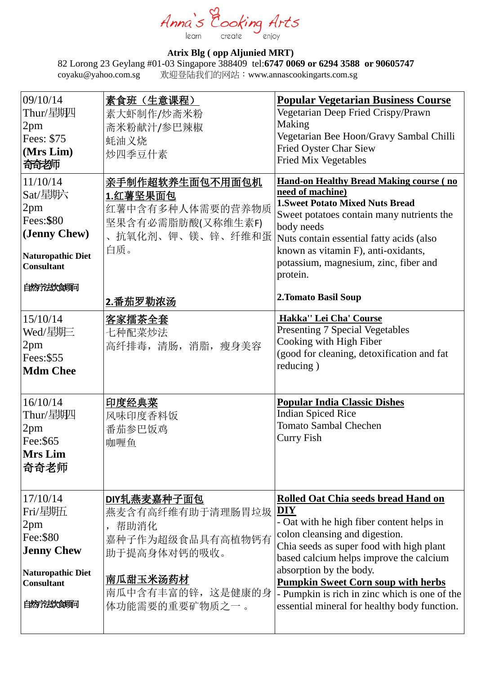Anna's oking Arts learn enjoy create

## **Atrix Blg ( opp Aljunied MRT)**

82 Lorong 23 Geylang #01-03 Singapore 388409 tel:**6747 0069 or 6294 3588 or 90605747** coyaku@yahoo.com.sg 欢迎登陆我们的网站:[www.annascookingarts.com.](http://www.annascookingarts.com/)sg

| 素食班(生意课程)<br>素大虾制作/炒斋米粉<br>斋米粉献汁/参巴辣椒<br>蚝油义烧<br>炒四季豆什素                                        | <b>Popular Vegetarian Business Course</b><br>Vegetarian Deep Fried Crispy/Prawn<br>Making<br>Vegetarian Bee Hoon/Gravy Sambal Chilli<br>Fried Oyster Char Siew<br><b>Fried Mix Vegetables</b>                                                                                                                                            |
|------------------------------------------------------------------------------------------------|------------------------------------------------------------------------------------------------------------------------------------------------------------------------------------------------------------------------------------------------------------------------------------------------------------------------------------------|
| 亲手制作超软养生面包不用面包机<br>1.红薯坚果面包<br>红薯中含有多种人体需要的营养物质<br>坚果含有必需脂肪酸(又称维生素F)<br>抗氧化剂、钾、镁、锌、纤维和蛋<br>白质。 | <b>Hand-on Healthy Bread Making course (no</b><br>need of machine)<br><b>1. Sweet Potato Mixed Nuts Bread</b><br>Sweet potatoes contain many nutrients the<br>body needs<br>Nuts contain essential fatty acids (also<br>known as vitamin F), anti-oxidants,<br>potassium, magnesium, zinc, fiber and<br>protein.<br>2. Tomato Basil Soup |
| <u>客家擂茶全套</u><br>七种配菜炒法<br>高纤排毒,清肠,消脂,瘦身美容                                                     | Hakka" Lei Cha' Course<br><b>Presenting 7 Special Vegetables</b><br>Cooking with High Fiber<br>(good for cleaning, detoxification and fat<br>reducing)                                                                                                                                                                                   |
| <u>印度经典菜</u><br>风味印度香料饭<br>番茄参巴饭鸡<br>咖喱鱼                                                       | <b>Popular India Classic Dishes</b><br><b>Indian Spiced Rice</b><br><b>Tomato Sambal Chechen</b><br><b>Curry Fish</b>                                                                                                                                                                                                                    |
| DIY轧燕麦嘉种子面包<br>燕麦含有高纤维有助于清理肠胃垃圾<br>帮助消化<br>嘉种子作为超级食品具有高植物钙有<br>助于提高身体对钙的吸收。                    | Rolled Oat Chia seeds bread Hand on<br><b>DIY</b><br>- Oat with he high fiber content helps in<br>colon cleansing and digestion.<br>Chia seeds as super food with high plant<br>based calcium helps improve the calcium                                                                                                                  |
|                                                                                                | 2.番茄罗勒浓汤                                                                                                                                                                                                                                                                                                                                 |